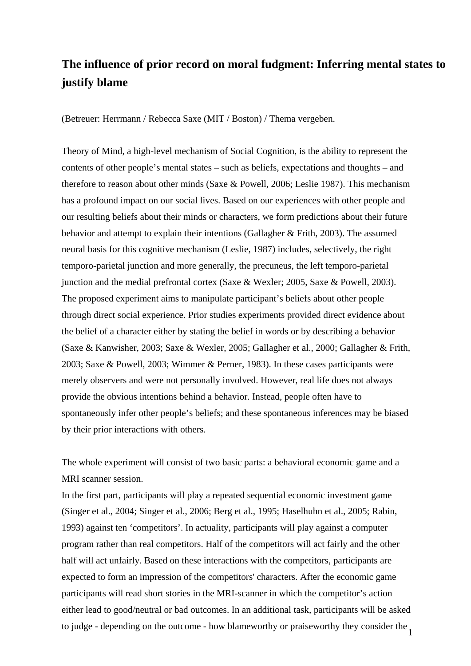## **The influence of prior record on moral fudgment: Inferring mental states to justify blame**

(Betreuer: Herrmann / Rebecca Saxe (MIT / Boston) / Thema vergeben.

Theory of Mind, a high-level mechanism of Social Cognition, is the ability to represent the contents of other people's mental states – such as beliefs, expectations and thoughts – and therefore to reason about other minds (Saxe & Powell, 2006; Leslie 1987). This mechanism has a profound impact on our social lives. Based on our experiences with other people and our resulting beliefs about their minds or characters, we form predictions about their future behavior and attempt to explain their intentions (Gallagher & Frith, 2003). The assumed neural basis for this cognitive mechanism (Leslie, 1987) includes, selectively, the right temporo-parietal junction and more generally, the precuneus, the left temporo-parietal junction and the medial prefrontal cortex (Saxe & Wexler; 2005, Saxe & Powell, 2003). The proposed experiment aims to manipulate participant's beliefs about other people through direct social experience. Prior studies experiments provided direct evidence about the belief of a character either by stating the belief in words or by describing a behavior (Saxe & Kanwisher, 2003; Saxe & Wexler, 2005; Gallagher et al., 2000; Gallagher & Frith, 2003; Saxe & Powell, 2003; Wimmer & Perner, 1983). In these cases participants were merely observers and were not personally involved. However, real life does not always provide the obvious intentions behind a behavior. Instead, people often have to spontaneously infer other people's beliefs; and these spontaneous inferences may be biased by their prior interactions with others.

The whole experiment will consist of two basic parts: a behavioral economic game and a MRI scanner session.

to judge - depending on the outcome - how blameworthy or praiseworthy they consider the  $\frac{1}{1}$ In the first part, participants will play a repeated sequential economic investment game (Singer et al., 2004; Singer et al., 2006; Berg et al., 1995; Haselhuhn et al., 2005; Rabin, 1993) against ten 'competitors'. In actuality, participants will play against a computer program rather than real competitors. Half of the competitors will act fairly and the other half will act unfairly. Based on these interactions with the competitors, participants are expected to form an impression of the competitors' characters. After the economic game participants will read short stories in the MRI-scanner in which the competitor's action either lead to good/neutral or bad outcomes. In an additional task, participants will be asked